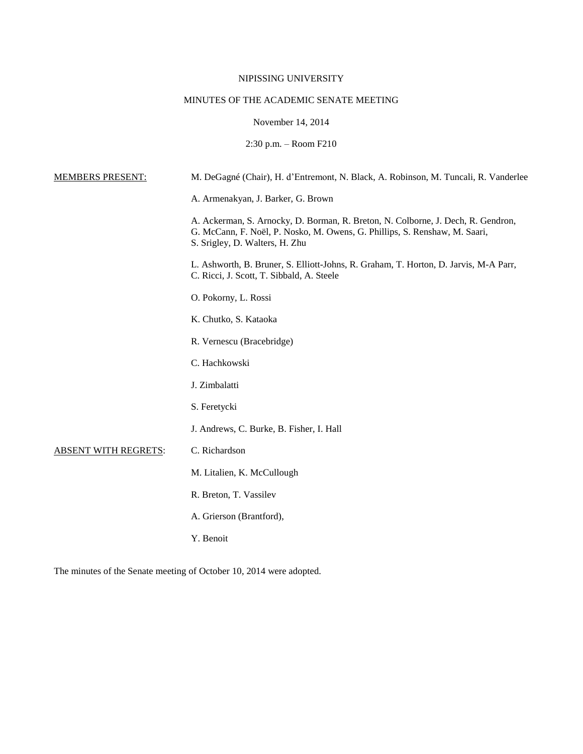# NIPISSING UNIVERSITY

# MINUTES OF THE ACADEMIC SENATE MEETING

# November 14, 2014

# 2:30 p.m. – Room F210

| <b>MEMBERS PRESENT:</b>     | M. DeGagné (Chair), H. d'Entremont, N. Black, A. Robinson, M. Tuncali, R. Vanderlee                                                                                                              |
|-----------------------------|--------------------------------------------------------------------------------------------------------------------------------------------------------------------------------------------------|
|                             | A. Armenakyan, J. Barker, G. Brown                                                                                                                                                               |
|                             | A. Ackerman, S. Arnocky, D. Borman, R. Breton, N. Colborne, J. Dech, R. Gendron,<br>G. McCann, F. Noël, P. Nosko, M. Owens, G. Phillips, S. Renshaw, M. Saari,<br>S. Srigley, D. Walters, H. Zhu |
|                             | L. Ashworth, B. Bruner, S. Elliott-Johns, R. Graham, T. Horton, D. Jarvis, M-A Parr,<br>C. Ricci, J. Scott, T. Sibbald, A. Steele                                                                |
|                             | O. Pokorny, L. Rossi                                                                                                                                                                             |
|                             | K. Chutko, S. Kataoka                                                                                                                                                                            |
|                             | R. Vernescu (Bracebridge)                                                                                                                                                                        |
|                             | C. Hachkowski                                                                                                                                                                                    |
|                             | J. Zimbalatti                                                                                                                                                                                    |
|                             | S. Feretycki                                                                                                                                                                                     |
|                             | J. Andrews, C. Burke, B. Fisher, I. Hall                                                                                                                                                         |
| <b>ABSENT WITH REGRETS:</b> | C. Richardson                                                                                                                                                                                    |
|                             | M. Litalien, K. McCullough                                                                                                                                                                       |
|                             | R. Breton, T. Vassilev                                                                                                                                                                           |
|                             | A. Grierson (Brantford),                                                                                                                                                                         |
|                             | Y. Benoit                                                                                                                                                                                        |
|                             |                                                                                                                                                                                                  |

The minutes of the Senate meeting of October 10, 2014 were adopted.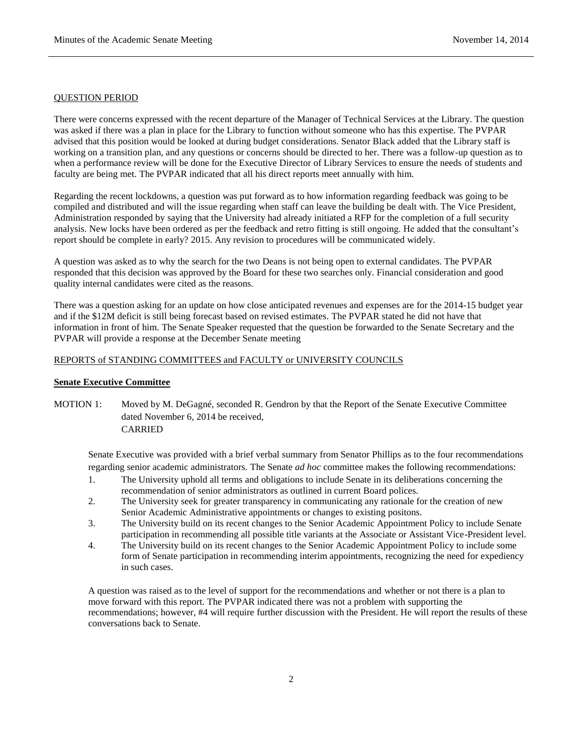#### QUESTION PERIOD

There were concerns expressed with the recent departure of the Manager of Technical Services at the Library. The question was asked if there was a plan in place for the Library to function without someone who has this expertise. The PVPAR advised that this position would be looked at during budget considerations. Senator Black added that the Library staff is working on a transition plan, and any questions or concerns should be directed to her. There was a follow-up question as to when a performance review will be done for the Executive Director of Library Services to ensure the needs of students and faculty are being met. The PVPAR indicated that all his direct reports meet annually with him.

Regarding the recent lockdowns, a question was put forward as to how information regarding feedback was going to be compiled and distributed and will the issue regarding when staff can leave the building be dealt with. The Vice President, Administration responded by saying that the University had already initiated a RFP for the completion of a full security analysis. New locks have been ordered as per the feedback and retro fitting is still ongoing. He added that the consultant's report should be complete in early? 2015. Any revision to procedures will be communicated widely.

A question was asked as to why the search for the two Deans is not being open to external candidates. The PVPAR responded that this decision was approved by the Board for these two searches only. Financial consideration and good quality internal candidates were cited as the reasons.

There was a question asking for an update on how close anticipated revenues and expenses are for the 2014-15 budget year and if the \$12M deficit is still being forecast based on revised estimates. The PVPAR stated he did not have that information in front of him. The Senate Speaker requested that the question be forwarded to the Senate Secretary and the PVPAR will provide a response at the December Senate meeting

# REPORTS of STANDING COMMITTEES and FACULTY or UNIVERSITY COUNCILS

## **Senate Executive Committee**

# MOTION 1: Moved by M. DeGagné, seconded R. Gendron by that the Report of the Senate Executive Committee dated November 6, 2014 be received, CARRIED

Senate Executive was provided with a brief verbal summary from Senator Phillips as to the four recommendations regarding senior academic administrators. The Senate *ad hoc* committee makes the following recommendations:

- 1. The University uphold all terms and obligations to include Senate in its deliberations concerning the recommendation of senior administrators as outlined in current Board polices.
- 2. The University seek for greater transparency in communicating any rationale for the creation of new Senior Academic Administrative appointments or changes to existing positons.
- 3. The University build on its recent changes to the Senior Academic Appointment Policy to include Senate participation in recommending all possible title variants at the Associate or Assistant Vice-President level.
- 4. The University build on its recent changes to the Senior Academic Appointment Policy to include some form of Senate participation in recommending interim appointments, recognizing the need for expediency in such cases.

A question was raised as to the level of support for the recommendations and whether or not there is a plan to move forward with this report. The PVPAR indicated there was not a problem with supporting the recommendations; however, #4 will require further discussion with the President. He will report the results of these conversations back to Senate.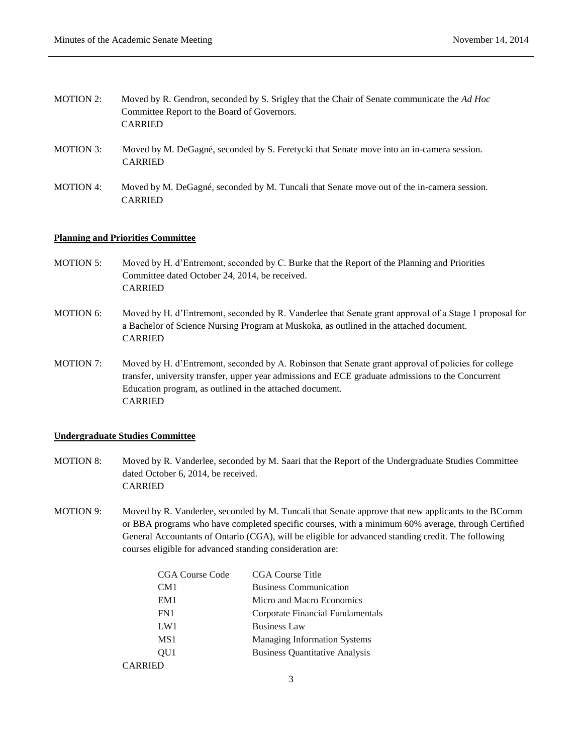- MOTION 2: Moved by R. Gendron, seconded by S. Srigley that the Chair of Senate communicate the *Ad Hoc*  Committee Report to the Board of Governors. CARRIED
- MOTION 3: Moved by M. DeGagné, seconded by S. Feretycki that Senate move into an in-camera session. CARRIED
- MOTION 4: Moved by M. DeGagné, seconded by M. Tuncali that Senate move out of the in-camera session. CARRIED

#### **Planning and Priorities Committee**

- MOTION 5: Moved by H. d'Entremont, seconded by C. Burke that the Report of the Planning and Priorities Committee dated October 24, 2014, be received. CARRIED
- MOTION 6: Moved by H. d'Entremont, seconded by R. Vanderlee that Senate grant approval of a Stage 1 proposal for a Bachelor of Science Nursing Program at Muskoka, as outlined in the attached document. CARRIED
- MOTION 7: Moved by H. d'Entremont, seconded by A. Robinson that Senate grant approval of policies for college transfer, university transfer, upper year admissions and ECE graduate admissions to the Concurrent Education program, as outlined in the attached document. CARRIED

## **Undergraduate Studies Committee**

- MOTION 8: Moved by R. Vanderlee, seconded by M. Saari that the Report of the Undergraduate Studies Committee dated October 6, 2014, be received. CARRIED
- MOTION 9: Moved by R. Vanderlee, seconded by M. Tuncali that Senate approve that new applicants to the BComm or BBA programs who have completed specific courses, with a minimum 60% average, through Certified General Accountants of Ontario (CGA), will be eligible for advanced standing credit. The following courses eligible for advanced standing consideration are:

| <b>CGA Course Code</b> | CGA Course Title                      |
|------------------------|---------------------------------------|
| CM1                    | <b>Business Communication</b>         |
| EM1                    | Micro and Macro Economics             |
| FN1                    | Corporate Financial Fundamentals      |
| LW1                    | <b>Business Law</b>                   |
| MS1                    | <b>Managing Information Systems</b>   |
| OU1                    | <b>Business Quantitative Analysis</b> |
| CARRIED                |                                       |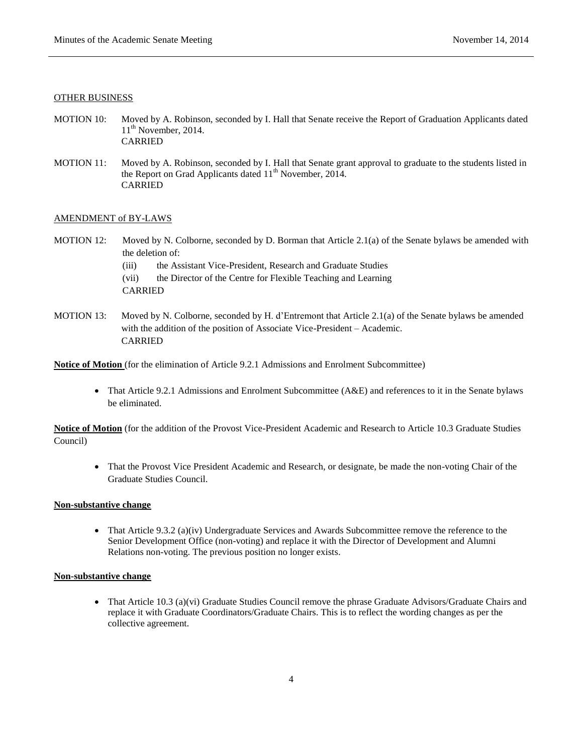#### OTHER BUSINESS

- MOTION 10: Moved by A. Robinson, seconded by I. Hall that Senate receive the Report of Graduation Applicants dated  $11<sup>th</sup>$  November, 2014. CARRIED
- MOTION 11: Moved by A. Robinson, seconded by I. Hall that Senate grant approval to graduate to the students listed in the Report on Grad Applicants dated  $11<sup>th</sup>$  November, 2014. CARRIED

#### AMENDMENT of BY-LAWS

- MOTION 12: Moved by N. Colborne, seconded by D. Borman that Article 2.1(a) of the Senate bylaws be amended with the deletion of:
	- (iii) the Assistant Vice-President, Research and Graduate Studies
	- (vii) the Director of the Centre for Flexible Teaching and Learning CARRIED
- MOTION 13: Moved by N. Colborne, seconded by H. d'Entremont that Article 2.1(a) of the Senate bylaws be amended with the addition of the position of Associate Vice-President – Academic. CARRIED

**Notice of Motion** (for the elimination of Article 9.2.1 Admissions and Enrolment Subcommittee)

 That Article 9.2.1 Admissions and Enrolment Subcommittee (A&E) and references to it in the Senate bylaws be eliminated.

**Notice of Motion** (for the addition of the Provost Vice-President Academic and Research to Article 10.3 Graduate Studies Council)

• That the Provost Vice President Academic and Research, or designate, be made the non-voting Chair of the Graduate Studies Council.

#### **Non-substantive change**

• That Article 9.3.2 (a)(iv) Undergraduate Services and Awards Subcommittee remove the reference to the Senior Development Office (non-voting) and replace it with the Director of Development and Alumni Relations non-voting. The previous position no longer exists.

## **Non-substantive change**

• That Article 10.3 (a)(vi) Graduate Studies Council remove the phrase Graduate Advisors/Graduate Chairs and replace it with Graduate Coordinators/Graduate Chairs. This is to reflect the wording changes as per the collective agreement.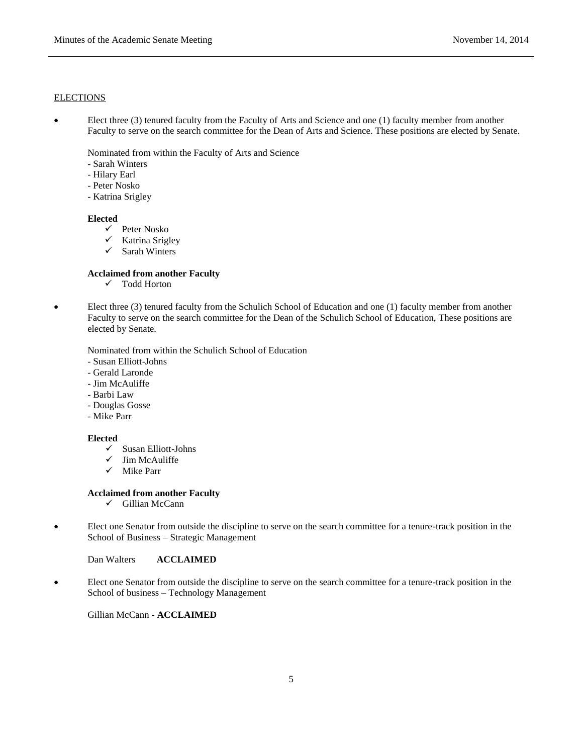#### ELECTIONS

 Elect three (3) tenured faculty from the Faculty of Arts and Science and one (1) faculty member from another Faculty to serve on the search committee for the Dean of Arts and Science. These positions are elected by Senate.

Nominated from within the Faculty of Arts and Science

- Sarah Winters
- Hilary Earl
- Peter Nosko
- Katrina Srigley

#### **Elected**

- $\checkmark$  Peter Nosko
- $\checkmark$  Katrina Srigley
- $\checkmark$  Sarah Winters

## **Acclaimed from another Faculty**

- Todd Horton
- Elect three (3) tenured faculty from the Schulich School of Education and one (1) faculty member from another Faculty to serve on the search committee for the Dean of the Schulich School of Education, These positions are elected by Senate.

Nominated from within the Schulich School of Education

- Susan Elliott-Johns
- Gerald Laronde
- Jim McAuliffe
- Barbi Law
- Douglas Gosse
- Mike Parr

# **Elected**

- $\checkmark$  Susan Elliott-Johns
- $\checkmark$  Jim McAuliffe
- $\checkmark$  Mike Parr

# **Acclaimed from another Faculty**

- $\checkmark$  Gillian McCann
- Elect one Senator from outside the discipline to serve on the search committee for a tenure-track position in the School of Business – Strategic Management

Dan Walters **ACCLAIMED**

 Elect one Senator from outside the discipline to serve on the search committee for a tenure-track position in the School of business – Technology Management

Gillian McCann - **ACCLAIMED**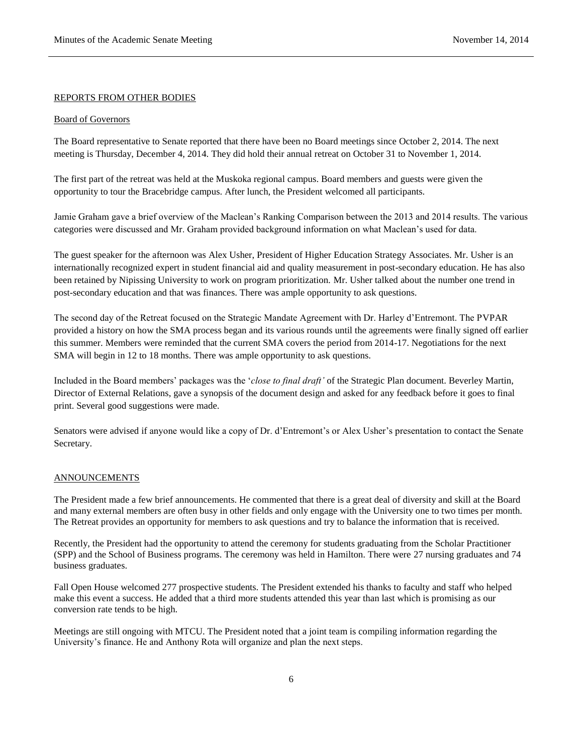#### REPORTS FROM OTHER BODIES

#### Board of Governors

The Board representative to Senate reported that there have been no Board meetings since October 2, 2014. The next meeting is Thursday, December 4, 2014. They did hold their annual retreat on October 31 to November 1, 2014.

The first part of the retreat was held at the Muskoka regional campus. Board members and guests were given the opportunity to tour the Bracebridge campus. After lunch, the President welcomed all participants.

Jamie Graham gave a brief overview of the Maclean's Ranking Comparison between the 2013 and 2014 results. The various categories were discussed and Mr. Graham provided background information on what Maclean's used for data.

The guest speaker for the afternoon was Alex Usher, President of Higher Education Strategy Associates. Mr. Usher is an internationally recognized expert in student financial aid and quality measurement in post-secondary education. He has also been retained by Nipissing University to work on program prioritization. Mr. Usher talked about the number one trend in post-secondary education and that was finances. There was ample opportunity to ask questions.

The second day of the Retreat focused on the Strategic Mandate Agreement with Dr. Harley d'Entremont. The PVPAR provided a history on how the SMA process began and its various rounds until the agreements were finally signed off earlier this summer. Members were reminded that the current SMA covers the period from 2014-17. Negotiations for the next SMA will begin in 12 to 18 months. There was ample opportunity to ask questions.

Included in the Board members' packages was the '*close to final draft'* of the Strategic Plan document. Beverley Martin, Director of External Relations, gave a synopsis of the document design and asked for any feedback before it goes to final print. Several good suggestions were made.

Senators were advised if anyone would like a copy of Dr. d'Entremont's or Alex Usher's presentation to contact the Senate Secretary.

#### ANNOUNCEMENTS

The President made a few brief announcements. He commented that there is a great deal of diversity and skill at the Board and many external members are often busy in other fields and only engage with the University one to two times per month. The Retreat provides an opportunity for members to ask questions and try to balance the information that is received.

Recently, the President had the opportunity to attend the ceremony for students graduating from the Scholar Practitioner (SPP) and the School of Business programs. The ceremony was held in Hamilton. There were 27 nursing graduates and 74 business graduates.

Fall Open House welcomed 277 prospective students. The President extended his thanks to faculty and staff who helped make this event a success. He added that a third more students attended this year than last which is promising as our conversion rate tends to be high.

Meetings are still ongoing with MTCU. The President noted that a joint team is compiling information regarding the University's finance. He and Anthony Rota will organize and plan the next steps.